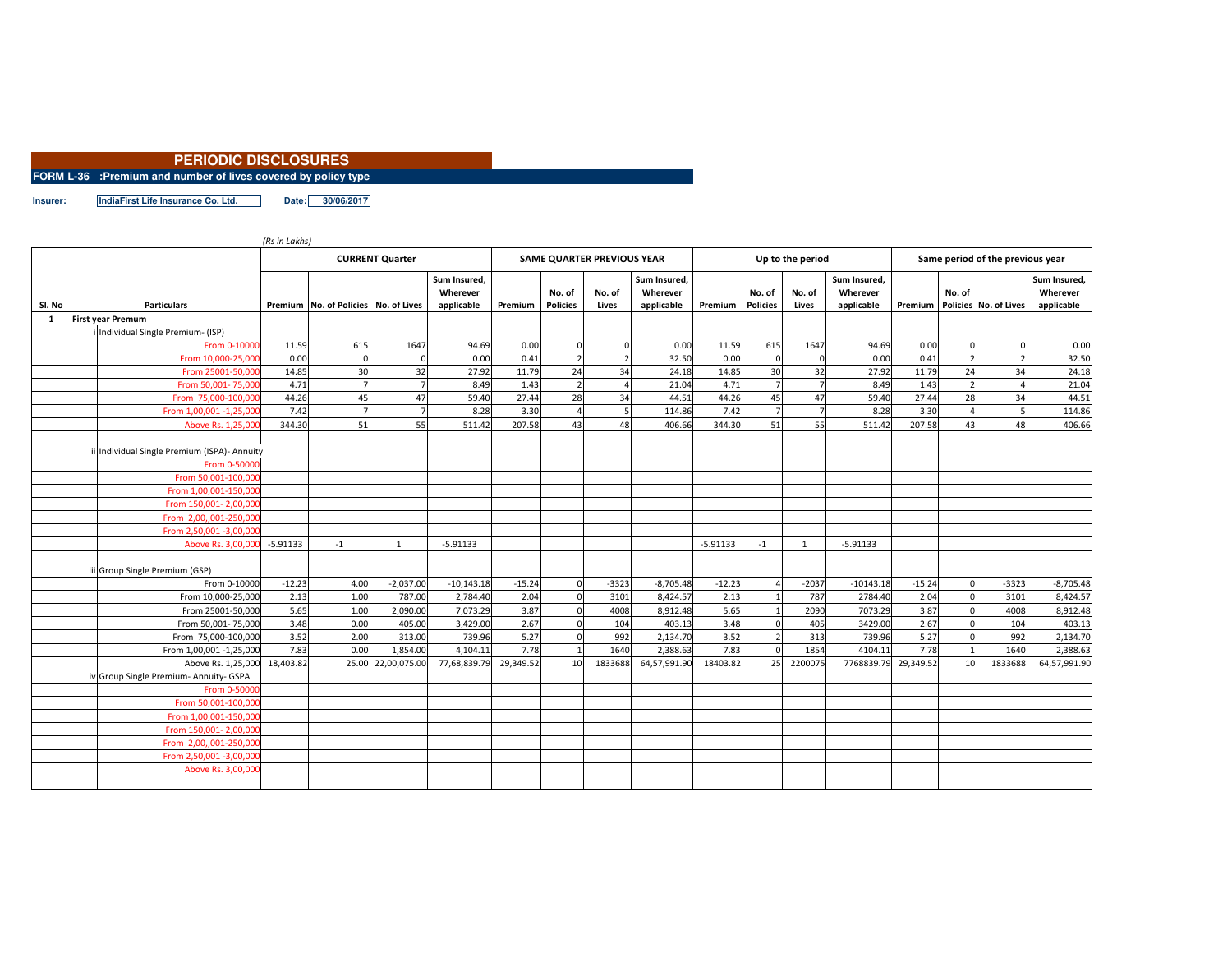## **PERIODIC DISCLOSURES**

**FORM L-36 :Premium and number of lives covered by policy type**

**Insurer: IndiaFirst Life Insurance Co. Ltd. Date: 30/06/2017**

|        |                                           | (Rs in Lakhs)          |                                      |                    |                                        |           |                           |                            |                                        |            |                           |                  |                                        |           |                                  |                       |                                        |  |  |
|--------|-------------------------------------------|------------------------|--------------------------------------|--------------------|----------------------------------------|-----------|---------------------------|----------------------------|----------------------------------------|------------|---------------------------|------------------|----------------------------------------|-----------|----------------------------------|-----------------------|----------------------------------------|--|--|
|        |                                           | <b>CURRENT Quarter</b> |                                      |                    |                                        |           |                           | SAME QUARTER PREVIOUS YEAR |                                        |            |                           | Up to the period |                                        |           | Same period of the previous year |                       |                                        |  |  |
| SI. No | <b>Particulars</b>                        |                        | Premium No. of Policies No. of Lives |                    | Sum Insured,<br>Wherever<br>applicable | Premium   | No. of<br><b>Policies</b> | No. of<br>Lives            | Sum Insured,<br>Wherever<br>applicable | Premium    | No. of<br><b>Policies</b> | No. of<br>Lives  | Sum Insured,<br>Wherever<br>applicable | Premium   | No. of                           | Policies No. of Lives | Sum Insured,<br>Wherever<br>applicable |  |  |
| 1      | <b>First year Premum</b>                  |                        |                                      |                    |                                        |           |                           |                            |                                        |            |                           |                  |                                        |           |                                  |                       |                                        |  |  |
|        | Individual Single Premium- (ISP)          |                        |                                      |                    |                                        |           |                           |                            |                                        |            |                           |                  |                                        |           |                                  |                       |                                        |  |  |
|        | From 0-1000                               | 11.59                  | 615                                  | 1647               | 94.69                                  | 0.00      | $\Omega$                  |                            | 0.00                                   | 11.59      | 615                       | 1647             | 94.69                                  | 0.00      |                                  |                       | 0.00                                   |  |  |
|        | From 10,000-25,00                         | 0.00                   | $\Omega$                             | $\Omega$           | 0.00                                   | 0.41      | $\overline{z}$            |                            | 32.50                                  | 0.00       |                           |                  | 0.00                                   | 0.41      |                                  |                       | 32.50                                  |  |  |
|        | From 25001-50,000                         | 14.85                  | 30                                   | 32                 | 27.92                                  | 11.79     | 24                        | 34                         | 24.18                                  | 14.85      | 30                        | 32               | 27.92                                  | 11.79     | 24                               | 34                    | 24.18                                  |  |  |
|        | From 50,001-75,00                         | 4.71                   |                                      | $\overline{7}$     | 8.49                                   | 1.43      | $\overline{2}$            |                            | 21.04                                  | 4.71       |                           |                  | 8.49                                   | 1.43      |                                  |                       | 21.04                                  |  |  |
|        | From 75,000-100,00                        | 44.26                  | 45                                   | 47                 | 59.40                                  | 27.44     | 28                        | 34                         | 44.51                                  | 44.26      | 45                        | 47               | 59.40                                  | 27.44     | 28                               | 34                    | 44.51                                  |  |  |
|        | From 1,00,001 -1,25,00                    | 7.42                   |                                      | $\overline{7}$     | 8.28                                   | 3.30      | $\boldsymbol{\Lambda}$    |                            | 114.86                                 | 7.42       |                           |                  | 8.28                                   | 3.30      |                                  |                       | 114.86                                 |  |  |
|        | Above Rs. 1,25,00                         | 344.30                 | 51                                   | 55                 | 511.42                                 | 207.58    | 43                        | 48                         | 406.66                                 | 344.30     | 51                        | 55               | 511.42                                 | 207.58    | 43                               | 48                    | 406.66                                 |  |  |
|        | Individual Single Premium (ISPA)- Annuity |                        |                                      |                    |                                        |           |                           |                            |                                        |            |                           |                  |                                        |           |                                  |                       |                                        |  |  |
|        | From 0-5000                               |                        |                                      |                    |                                        |           |                           |                            |                                        |            |                           |                  |                                        |           |                                  |                       |                                        |  |  |
|        | From 50,001-100,00                        |                        |                                      |                    |                                        |           |                           |                            |                                        |            |                           |                  |                                        |           |                                  |                       |                                        |  |  |
|        | From 1,00,001-150,00                      |                        |                                      |                    |                                        |           |                           |                            |                                        |            |                           |                  |                                        |           |                                  |                       |                                        |  |  |
|        | From 150,001-2,00,00                      |                        |                                      |                    |                                        |           |                           |                            |                                        |            |                           |                  |                                        |           |                                  |                       |                                        |  |  |
|        | From 2,00,,001-250,000                    |                        |                                      |                    |                                        |           |                           |                            |                                        |            |                           |                  |                                        |           |                                  |                       |                                        |  |  |
|        | From 2,50,001 -3,00,00                    |                        |                                      |                    |                                        |           |                           |                            |                                        |            |                           |                  |                                        |           |                                  |                       |                                        |  |  |
|        | Above Rs. 3,00,00                         | $-5.91133$             | $-1$                                 | 1                  | $-5.91133$                             |           |                           |                            |                                        | $-5.91133$ | $-1$                      | 1                | $-5.91133$                             |           |                                  |                       |                                        |  |  |
|        |                                           |                        |                                      |                    |                                        |           |                           |                            |                                        |            |                           |                  |                                        |           |                                  |                       |                                        |  |  |
|        | iii Group Single Premium (GSP)            |                        |                                      |                    |                                        |           |                           |                            |                                        |            |                           |                  |                                        |           |                                  |                       |                                        |  |  |
|        | From 0-10000                              | $-12.23$               | 4.00                                 | $-2,037.00$        | $-10,143.18$                           | $-15.24$  | $\mathbf 0$               | $-3323$                    | $-8,705.48$                            | $-12.23$   |                           | $-2037$          | $-10143.18$                            | $-15.24$  | $\mathbf 0$                      | $-3323$               | $-8,705.48$                            |  |  |
|        | From 10,000-25,000                        | 2.13                   | 1.00                                 | 787.00             | 2,784.40                               | 2.04      | $\Omega$                  | 3101                       | 8.424.57                               | 2.13       |                           | 787              | 2784.40                                | 2.04      |                                  | 3101                  | 8,424.57                               |  |  |
|        | From 25001-50,000                         | 5.65                   | 1.00                                 | 2,090.00           | 7,073.29                               | 3.87      | $\Omega$                  | 4008                       | 8,912.48                               | 5.65       |                           | 2090             | 7073.29                                | 3.87      | $\Omega$                         | 4008                  | 8,912.48                               |  |  |
|        | From 50,001-75,000                        | 3.48                   | 0.00                                 | 405.00             | 3,429.00                               | 2.67      | $\mathbf 0$               | 104                        | 403.13                                 | 3.48       |                           | 405              | 3429.00                                | 2.67      | $\mathbf 0$                      | 104                   | 403.13                                 |  |  |
|        | From 75,000-100,000                       | 3.52                   | 2.00                                 | 313.00             | 739.96                                 | 5.27      | $\mathbf 0$               | 992                        | 2,134.70                               | 3.52       |                           | 313              | 739.96                                 | 5.27      | $\Omega$                         | 992                   | 2,134.70                               |  |  |
|        | From 1,00,001 -1,25,000                   | 7.83                   | 0.00                                 | 1,854.00           | 4,104.11                               | 7.78      | 1                         | 1640                       | 2,388.63                               | 7.83       |                           | 1854             | 4104.11                                | 7.78      |                                  | 1640                  | 2,388.63                               |  |  |
|        | Above Rs. 1,25,000                        | 18,403.82              |                                      | 25.00 22,00,075.00 | 77,68,839.79                           | 29,349.52 | 10                        | 1833688                    | 64,57,991.90                           | 18403.82   | 25                        | 2200075          | 7768839.79                             | 29,349.52 | 10                               | 1833688               | 64,57,991.90                           |  |  |
|        | iv Group Single Premium- Annuity- GSPA    |                        |                                      |                    |                                        |           |                           |                            |                                        |            |                           |                  |                                        |           |                                  |                       |                                        |  |  |
|        | From 0-5000                               |                        |                                      |                    |                                        |           |                           |                            |                                        |            |                           |                  |                                        |           |                                  |                       |                                        |  |  |
|        | From 50.001-100.00                        |                        |                                      |                    |                                        |           |                           |                            |                                        |            |                           |                  |                                        |           |                                  |                       |                                        |  |  |
|        | From 1,00,001-150,00                      |                        |                                      |                    |                                        |           |                           |                            |                                        |            |                           |                  |                                        |           |                                  |                       |                                        |  |  |
|        | From 150,001- 2,00,00                     |                        |                                      |                    |                                        |           |                           |                            |                                        |            |                           |                  |                                        |           |                                  |                       |                                        |  |  |
|        | From 2.00001-250.00                       |                        |                                      |                    |                                        |           |                           |                            |                                        |            |                           |                  |                                        |           |                                  |                       |                                        |  |  |
|        | From 2,50,001 -3,00,00                    |                        |                                      |                    |                                        |           |                           |                            |                                        |            |                           |                  |                                        |           |                                  |                       |                                        |  |  |
|        | Above Rs. 3,00,00                         |                        |                                      |                    |                                        |           |                           |                            |                                        |            |                           |                  |                                        |           |                                  |                       |                                        |  |  |
|        |                                           |                        |                                      |                    |                                        |           |                           |                            |                                        |            |                           |                  |                                        |           |                                  |                       |                                        |  |  |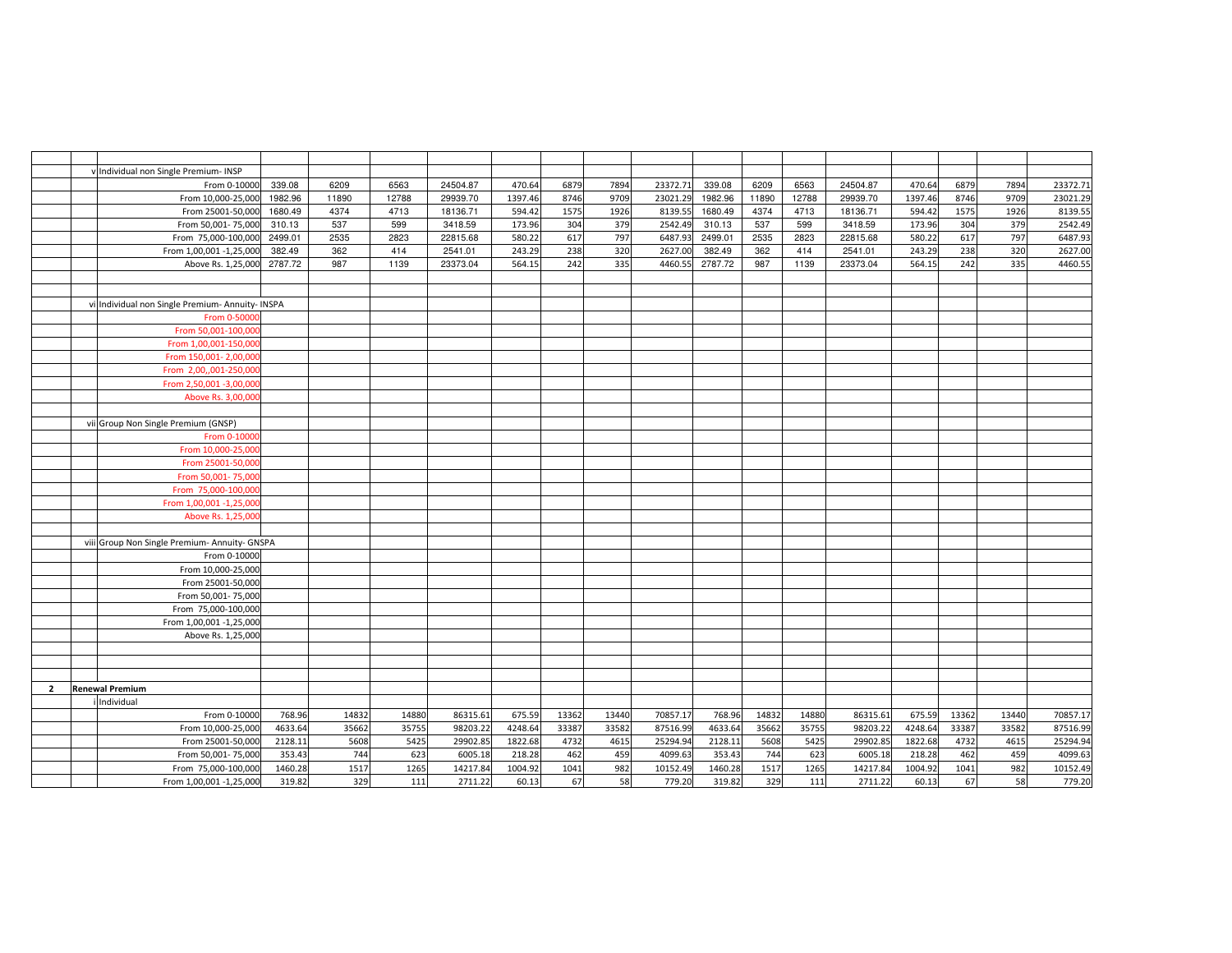|                | Individual non Single Premium- INSP           |         |       |       |          |         |       |       |          |         |       |       |          |         |       |       |          |
|----------------|-----------------------------------------------|---------|-------|-------|----------|---------|-------|-------|----------|---------|-------|-------|----------|---------|-------|-------|----------|
|                | From 0-10000                                  | 339.08  | 6209  | 6563  | 24504.87 | 470.64  | 6879  | 7894  | 23372.71 | 339.08  | 6209  | 6563  | 24504.87 | 470.64  | 6879  | 7894  | 23372.71 |
|                | From 10,000-25,000                            | 1982.96 | 11890 | 12788 | 29939.70 | 1397.46 | 8746  | 9709  | 23021.29 | 1982.96 | 11890 | 12788 | 29939.70 | 1397.46 | 8746  | 9709  | 23021.29 |
|                | From 25001-50,000                             | 1680.49 | 4374  | 4713  | 18136.71 | 594.42  | 1575  | 1926  | 8139.55  | 1680.49 | 4374  | 4713  | 18136.71 | 594.42  | 1575  | 1926  | 8139.55  |
|                | From 50,001-75,000                            | 310.13  | 537   | 599   | 3418.59  | 173.96  | 304   | 379   | 2542.49  | 310.13  | 537   | 599   | 3418.59  | 173.96  | 304   | 379   | 2542.49  |
|                | From 75,000-100,000                           | 2499.01 | 2535  | 2823  | 22815.68 | 580.22  | 617   | 797   | 6487.93  | 2499.01 | 2535  | 2823  | 22815.68 | 580.22  | 617   | 797   | 6487.93  |
|                | From 1,00,001 -1,25,000                       | 382.49  | 362   | 414   | 2541.01  | 243.29  | 238   | 320   | 2627.00  | 382.49  | 362   | 414   | 2541.01  | 243.29  | 238   | 320   | 2627.00  |
|                | Above Rs. 1,25,000                            | 2787.72 | 987   | 1139  | 23373.04 | 564.15  | 242   | 335   | 4460.55  | 2787.72 | 987   | 1139  | 23373.04 | 564.15  | 242   | 335   | 4460.55  |
|                |                                               |         |       |       |          |         |       |       |          |         |       |       |          |         |       |       |          |
|                |                                               |         |       |       |          |         |       |       |          |         |       |       |          |         |       |       |          |
|                | Individual non Single Premium- Annuity- INSPA |         |       |       |          |         |       |       |          |         |       |       |          |         |       |       |          |
|                | From 0-5000                                   |         |       |       |          |         |       |       |          |         |       |       |          |         |       |       |          |
|                | From 50,001-100,00                            |         |       |       |          |         |       |       |          |         |       |       |          |         |       |       |          |
|                | From 1,00,001-150,00                          |         |       |       |          |         |       |       |          |         |       |       |          |         |       |       |          |
|                | From 150,001- 2,00,00                         |         |       |       |          |         |       |       |          |         |       |       |          |         |       |       |          |
|                | From 2,00,,001-250,00                         |         |       |       |          |         |       |       |          |         |       |       |          |         |       |       |          |
|                | From 2,50,001 -3,00,00                        |         |       |       |          |         |       |       |          |         |       |       |          |         |       |       |          |
|                | Above Rs. 3,00,00                             |         |       |       |          |         |       |       |          |         |       |       |          |         |       |       |          |
|                |                                               |         |       |       |          |         |       |       |          |         |       |       |          |         |       |       |          |
|                | vii Group Non Single Premium (GNSP)           |         |       |       |          |         |       |       |          |         |       |       |          |         |       |       |          |
|                | From 0-1000                                   |         |       |       |          |         |       |       |          |         |       |       |          |         |       |       |          |
|                | From 10,000-25,00                             |         |       |       |          |         |       |       |          |         |       |       |          |         |       |       |          |
|                | From 25001-50,00                              |         |       |       |          |         |       |       |          |         |       |       |          |         |       |       |          |
|                | From 50,001-75,00                             |         |       |       |          |         |       |       |          |         |       |       |          |         |       |       |          |
|                | From 75,000-100,00                            |         |       |       |          |         |       |       |          |         |       |       |          |         |       |       |          |
|                | From 1,00,001 -1,25,00                        |         |       |       |          |         |       |       |          |         |       |       |          |         |       |       |          |
|                | Above Rs. 1,25,00                             |         |       |       |          |         |       |       |          |         |       |       |          |         |       |       |          |
|                |                                               |         |       |       |          |         |       |       |          |         |       |       |          |         |       |       |          |
|                | viii Group Non Single Premium- Annuity- GNSPA |         |       |       |          |         |       |       |          |         |       |       |          |         |       |       |          |
|                | From 0-10000<br>From 10,000-25,000            |         |       |       |          |         |       |       |          |         |       |       |          |         |       |       |          |
|                | From 25001-50,000                             |         |       |       |          |         |       |       |          |         |       |       |          |         |       |       |          |
|                |                                               |         |       |       |          |         |       |       |          |         |       |       |          |         |       |       |          |
|                | From 50,001-75,000<br>From 75,000-100,000     |         |       |       |          |         |       |       |          |         |       |       |          |         |       |       |          |
|                | From 1,00,001 -1,25,000                       |         |       |       |          |         |       |       |          |         |       |       |          |         |       |       |          |
|                | Above Rs. 1,25,000                            |         |       |       |          |         |       |       |          |         |       |       |          |         |       |       |          |
|                |                                               |         |       |       |          |         |       |       |          |         |       |       |          |         |       |       |          |
|                |                                               |         |       |       |          |         |       |       |          |         |       |       |          |         |       |       |          |
|                |                                               |         |       |       |          |         |       |       |          |         |       |       |          |         |       |       |          |
| $\overline{2}$ | Renewal Premium                               |         |       |       |          |         |       |       |          |         |       |       |          |         |       |       |          |
|                | Individual                                    |         |       |       |          |         |       |       |          |         |       |       |          |         |       |       |          |
|                | From 0-10000                                  | 768.96  | 14832 | 14880 | 86315.61 | 675.59  | 13362 | 13440 | 70857.17 | 768.96  | 14832 | 14880 | 86315.61 | 675.59  | 13362 | 13440 | 70857.17 |
|                | From 10,000-25,000                            | 4633.64 | 35662 | 35755 | 98203.22 | 4248.64 | 33387 | 33582 | 87516.99 | 4633.64 | 35662 | 35755 | 98203.22 | 4248.64 | 33387 | 33582 | 87516.99 |
|                | From 25001-50,000                             | 2128.11 | 5608  | 5425  | 29902.85 | 1822.68 | 4732  | 4615  | 25294.94 | 2128.11 | 5608  | 5425  | 29902.85 | 1822.68 | 4732  | 4615  | 25294.94 |
|                | From 50,001-75,000                            | 353.43  | 744   | 623   | 6005.18  | 218.28  | 462   | 459   | 4099.63  | 353.43  | 744   | 623   | 6005.18  | 218.28  | 462   | 459   | 4099.63  |
|                | From 75,000-100,000                           | 1460.28 | 1517  | 1265  | 14217.84 | 1004.92 | 1041  | 982   | 10152.49 | 1460.28 | 1517  | 1265  | 14217.84 | 1004.92 | 1041  | 982   | 10152.49 |
|                | From 1,00,001 -1,25,000                       | 319.82  | 329   | 111   | 2711.22  | 60.13   | 67    | 58    | 779.20   | 319.82  | 329   | 111   | 2711.22  | 60.13   | 67    | 58    | 779.20   |